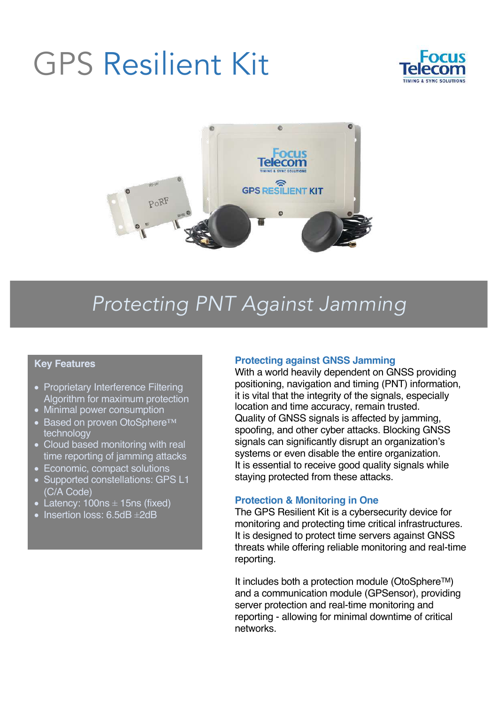# GPS Resilient Kit





# *Protecting PNT Against Jamming*

# **Key Features**

- Proprietary Interference Filtering Algorithm for maximum protection
- Minimal power consumption
- Based on proven OtoSphere<sup>™</sup> technology
- Cloud based monitoring with real time reporting of jamming attacks
- Economic, compact solutions
- Supported constellations: GPS L1 (C/A Code)
- Latency:  $100$ ns  $\pm$  15ns (fixed)
- Insertion loss: 6.5dB ±2dB

# **Protecting against GNSS Jamming**

With a world heavily dependent on GNSS providing positioning, navigation and timing (PNT) information, it is vital that the integrity of the signals, especially location and time accuracy, remain trusted. Quality of GNSS signals is affected by jamming, spoofing, and other cyber attacks. Blocking GNSS signals can significantly disrupt an organization's systems or even disable the entire organization. It is essential to receive good quality signals while staying protected from these attacks.

# **Protection & Monitoring in One**

The GPS Resilient Kit is a cybersecurity device for monitoring and protecting time critical infrastructures. It is designed to protect time servers against GNSS threats while offering reliable monitoring and real-time reporting.

It includes both a protection module (OtoSphereTM) and a communication module (GPSensor), providing server protection and real-time monitoring and reporting - allowing for minimal downtime of critical networks.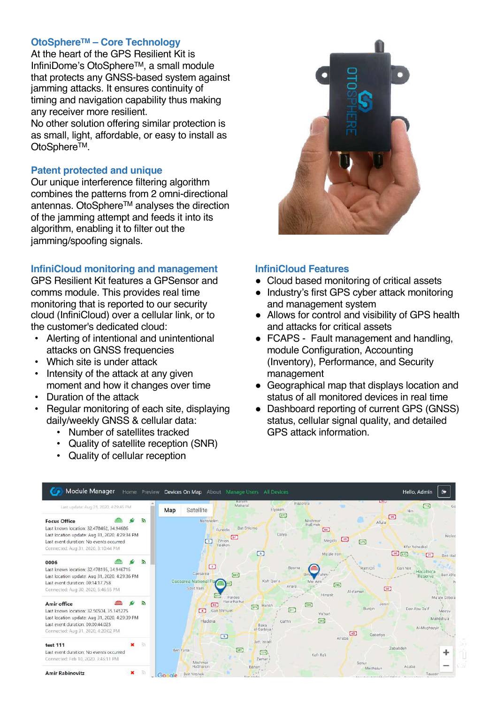# **OtoSphereTM – Core Technology**

At the heart of the GPS Resilient Kit is InfiniDome's OtoSphereTM, a small module that protects any GNSS-based system against jamming attacks. It ensures continuity of timing and navigation capability thus making any receiver more resilient.

No other solution offering similar protection is as small, light, affordable, or easy to install as OtoSphere<sup>™</sup>.

# **Patent protected and unique**

Our unique interference filtering algorithm combines the patterns from 2 omni-directional antennas. OtoSphereTM analyses the direction of the jamming attempt and feeds it into its algorithm, enabling it to filter out the jamming/spoofing signals.

# **InfiniCloud monitoring and management**

GPS Resilient Kit features a GPSensor and comms module. This provides real time monitoring that is reported to our security cloud (InfiniCloud) over a cellular link, or to the customer's dedicated cloud:

- Alerting of intentional and unintentional attacks on GNSS frequencies
- Which site is under attack
- Intensity of the attack at any given moment and how it changes over time
- Duration of the attack
- Regular monitoring of each site, displaying daily/weekly GNSS & cellular data:
	- Number of satellites tracked
	- Quality of satellite reception (SNR)
	- Quality of cellular reception



# **InfiniCloud Features**

- Cloud based monitoring of critical assets
- Industry's first GPS cyber attack monitoring and management system
- Allows for control and visibility of GPS health and attacks for critical assets
- FCAPS Fault management and handling, module Configuration, Accounting (Inventory), Performance, and Security management
- Geographical map that displays location and status of all monitored devices in real time
- Dashboard reporting of current GPS (GNSS) status, cellular signal quality, and detailed GPS attack information.